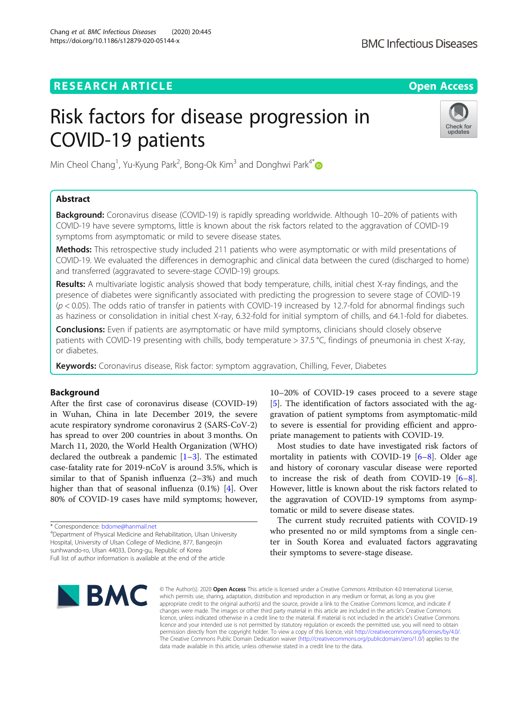# **RESEARCH ARTICLE Example 2014 CONSIDERING A RESEARCH ARTICLE**

# Risk factors for disease progression in COVID-19 patients



Min Cheol Chang<sup>1</sup>, Yu-Kyung Park<sup>2</sup>, Bong-Ok Kim<sup>3</sup> and Donghwi Park<sup>4[\\*](http://orcid.org/0000-0002-7724-4682)</sup>

# Abstract

**Background:** Coronavirus disease (COVID-19) is rapidly spreading worldwide. Although 10–20% of patients with COVID-19 have severe symptoms, little is known about the risk factors related to the aggravation of COVID-19 symptoms from asymptomatic or mild to severe disease states.

Methods: This retrospective study included 211 patients who were asymptomatic or with mild presentations of COVID-19. We evaluated the differences in demographic and clinical data between the cured (discharged to home) and transferred (aggravated to severe-stage COVID-19) groups.

Results: A multivariate logistic analysis showed that body temperature, chills, initial chest X-ray findings, and the presence of diabetes were significantly associated with predicting the progression to severe stage of COVID-19  $(p < 0.05)$ . The odds ratio of transfer in patients with COVID-19 increased by 12.7-fold for abnormal findings such as haziness or consolidation in initial chest X-ray, 6.32-fold for initial symptom of chills, and 64.1-fold for diabetes.

**Conclusions:** Even if patients are asymptomatic or have mild symptoms, clinicians should closely observe patients with COVID-19 presenting with chills, body temperature > 37.5 °C, findings of pneumonia in chest X-ray, or diabetes.

Keywords: Coronavirus disease, Risk factor: symptom aggravation, Chilling, Fever, Diabetes

# Background

After the first case of coronavirus disease (COVID-19) in Wuhan, China in late December 2019, the severe acute respiratory syndrome coronavirus 2 (SARS-CoV-2) has spread to over 200 countries in about 3 months. On March 11, 2020, the World Health Organization (WHO) declared the outbreak a pandemic  $[1-3]$  $[1-3]$  $[1-3]$  $[1-3]$ . The estimated case-fatality rate for 2019-nCoV is around 3.5%, which is similar to that of Spanish influenza (2–3%) and much higher than that of seasonal influenza (0.1%) [[4\]](#page-4-0). Over 80% of COVID-19 cases have mild symptoms; however,

\* Correspondence: [bdome@hanmail.net](mailto:bdome@hanmail.net) <sup>4</sup> Department of Physical Medicine and Rehabilitation, Ulsan University Hospital, University of Ulsan College of Medicine, 877, Bangeojin sunhwando-ro, Ulsan 44033, Dong-gu, Republic of Korea Full list of author information is available at the end of the article

10–20% of COVID-19 cases proceed to a severe stage [[5\]](#page-4-0). The identification of factors associated with the aggravation of patient symptoms from asymptomatic-mild to severe is essential for providing efficient and appropriate management to patients with COVID-19.

Most studies to date have investigated risk factors of mortality in patients with COVID-19  $[6-8]$  $[6-8]$  $[6-8]$ . Older age and history of coronary vascular disease were reported to increase the risk of death from COVID-19 [\[6](#page-4-0)–[8](#page-5-0)]. However, little is known about the risk factors related to the aggravation of COVID-19 symptoms from asymptomatic or mild to severe disease states.

The current study recruited patients with COVID-19 who presented no or mild symptoms from a single center in South Korea and evaluated factors aggravating their symptoms to severe-stage disease.



© The Author(s), 2020 **Open Access** This article is licensed under a Creative Commons Attribution 4.0 International License, which permits use, sharing, adaptation, distribution and reproduction in any medium or format, as long as you give appropriate credit to the original author(s) and the source, provide a link to the Creative Commons licence, and indicate if changes were made. The images or other third party material in this article are included in the article's Creative Commons licence, unless indicated otherwise in a credit line to the material. If material is not included in the article's Creative Commons licence and your intended use is not permitted by statutory regulation or exceeds the permitted use, you will need to obtain permission directly from the copyright holder. To view a copy of this licence, visit [http://creativecommons.org/licenses/by/4.0/.](http://creativecommons.org/licenses/by/4.0/) The Creative Commons Public Domain Dedication waiver [\(http://creativecommons.org/publicdomain/zero/1.0/](http://creativecommons.org/publicdomain/zero/1.0/)) applies to the data made available in this article, unless otherwise stated in a credit line to the data.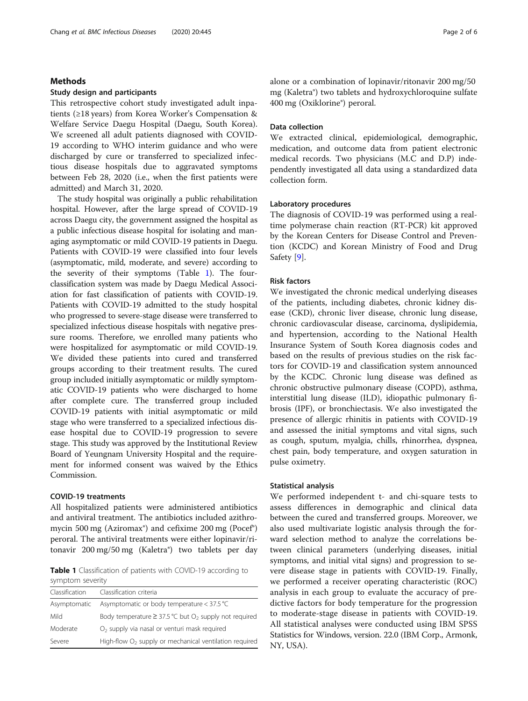#### Chang et al. BMC Infectious Diseases (2020) 20:445 Page 2 of 6

# Methods

#### Study design and participants

This retrospective cohort study investigated adult inpatients (≥18 years) from Korea Worker's Compensation & Welfare Service Daegu Hospital (Daegu, South Korea). We screened all adult patients diagnosed with COVID-19 according to WHO interim guidance and who were discharged by cure or transferred to specialized infectious disease hospitals due to aggravated symptoms between Feb 28, 2020 (i.e., when the first patients were admitted) and March 31, 2020.

The study hospital was originally a public rehabilitation hospital. However, after the large spread of COVID-19 across Daegu city, the government assigned the hospital as a public infectious disease hospital for isolating and managing asymptomatic or mild COVID-19 patients in Daegu. Patients with COVID-19 were classified into four levels (asymptomatic, mild, moderate, and severe) according to the severity of their symptoms (Table 1). The fourclassification system was made by Daegu Medical Association for fast classification of patients with COVID-19. Patients with COVID-19 admitted to the study hospital who progressed to severe-stage disease were transferred to specialized infectious disease hospitals with negative pressure rooms. Therefore, we enrolled many patients who were hospitalized for asymptomatic or mild COVID-19. We divided these patients into cured and transferred groups according to their treatment results. The cured group included initially asymptomatic or mildly symptomatic COVID-19 patients who were discharged to home after complete cure. The transferred group included COVID-19 patients with initial asymptomatic or mild stage who were transferred to a specialized infectious disease hospital due to COVID-19 progression to severe stage. This study was approved by the Institutional Review Board of Yeungnam University Hospital and the requirement for informed consent was waived by the Ethics Commission.

# COVID-19 treatments

All hospitalized patients were administered antibiotics and antiviral treatment. The antibiotics included azithromycin 500 mg (Aziromax®) and cefixime 200 mg (Pocef®) peroral. The antiviral treatments were either lopinavir/ritonavir 200 mg/50 mg (Kaletra®) two tablets per day

Table 1 Classification of patients with COVID-19 according to symptom severity

| Classification | Classification criteria                                                |
|----------------|------------------------------------------------------------------------|
| Asymptomatic   | Asymptomatic or body temperature $<$ 37.5 °C                           |
| Mild           | Body temperature $\geq$ 37.5 °C but O <sub>2</sub> supply not required |
| Moderate       | $O2$ supply via nasal or venturi mask required                         |
| Severe         | High-flow $O2$ supply or mechanical ventilation required               |

alone or a combination of lopinavir/ritonavir 200 mg/50 mg (Kaletra®) two tablets and hydroxychloroquine sulfate 400 mg (Oxiklorine®) peroral.

# Data collection

We extracted clinical, epidemiological, demographic, medication, and outcome data from patient electronic medical records. Two physicians (M.C and D.P) independently investigated all data using a standardized data collection form.

# Laboratory procedures

The diagnosis of COVID-19 was performed using a realtime polymerase chain reaction (RT-PCR) kit approved by the Korean Centers for Disease Control and Prevention (KCDC) and Korean Ministry of Food and Drug Safety [\[9\]](#page-5-0).

# Risk factors

We investigated the chronic medical underlying diseases of the patients, including diabetes, chronic kidney disease (CKD), chronic liver disease, chronic lung disease, chronic cardiovascular disease, carcinoma, dyslipidemia, and hypertension, according to the National Health Insurance System of South Korea diagnosis codes and based on the results of previous studies on the risk factors for COVID-19 and classification system announced by the KCDC. Chronic lung disease was defined as chronic obstructive pulmonary disease (COPD), asthma, interstitial lung disease (ILD), idiopathic pulmonary fibrosis (IPF), or bronchiectasis. We also investigated the presence of allergic rhinitis in patients with COVID-19 and assessed the initial symptoms and vital signs, such as cough, sputum, myalgia, chills, rhinorrhea, dyspnea, chest pain, body temperature, and oxygen saturation in pulse oximetry.

## Statistical analysis

We performed independent t- and chi-square tests to assess differences in demographic and clinical data between the cured and transferred groups. Moreover, we also used multivariate logistic analysis through the forward selection method to analyze the correlations between clinical parameters (underlying diseases, initial symptoms, and initial vital signs) and progression to severe disease stage in patients with COVID-19. Finally, we performed a receiver operating characteristic (ROC) analysis in each group to evaluate the accuracy of predictive factors for body temperature for the progression to moderate-stage disease in patients with COVID-19. All statistical analyses were conducted using IBM SPSS Statistics for Windows, version. 22.0 (IBM Corp., Armonk, NY, USA).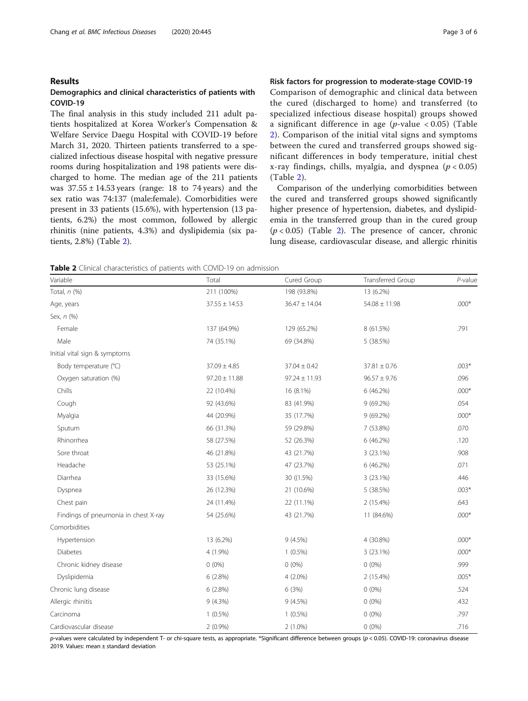# Results

# Demographics and clinical characteristics of patients with COVID-19

The final analysis in this study included 211 adult patients hospitalized at Korea Worker's Compensation & Welfare Service Daegu Hospital with COVID-19 before March 31, 2020. Thirteen patients transferred to a specialized infectious disease hospital with negative pressure rooms during hospitalization and 198 patients were discharged to home. The median age of the 211 patients was  $37.55 \pm 14.53$  years (range: 18 to 74 years) and the sex ratio was 74:137 (male:female). Comorbidities were present in 33 patients (15.6%), with hypertension (13 patients, 6.2%) the most common, followed by allergic rhinitis (nine patients, 4.3%) and dyslipidemia (six patients, 2.8%) (Table 2).

# Risk factors for progression to moderate-stage COVID-19

Comparison of demographic and clinical data between the cured (discharged to home) and transferred (to specialized infectious disease hospital) groups showed a significant difference in age ( $p$ -value < 0.05) (Table 2). Comparison of the initial vital signs and symptoms between the cured and transferred groups showed significant differences in body temperature, initial chest x-ray findings, chills, myalgia, and dyspnea ( $p < 0.05$ ) (Table 2).

Comparison of the underlying comorbidities between the cured and transferred groups showed significantly higher presence of hypertension, diabetes, and dyslipidemia in the transferred group than in the cured group  $(p < 0.05)$  (Table 2). The presence of cancer, chronic lung disease, cardiovascular disease, and allergic rhinitis

Table 2 Clinical characteristics of patients with COVID-19 on admission

| Variable                             | Total             | Cured Group       | <b>Transferred Group</b> | P-value |
|--------------------------------------|-------------------|-------------------|--------------------------|---------|
| Total, $n$ $(\%)$                    | 211 (100%)        | 198 (93.8%)       | 13 (6.2%)                |         |
| Age, years                           | $37.55 \pm 14.53$ | $36.47 \pm 14.04$ | $54.08 \pm 11.98$        | $.000*$ |
| Sex, n (%)                           |                   |                   |                          |         |
| Female                               | 137 (64.9%)       | 129 (65.2%)       | 8 (61.5%)                | .791    |
| Male                                 | 74 (35.1%)        | 69 (34.8%)        | 5 (38.5%)                |         |
| Initial vital sign & symptoms        |                   |                   |                          |         |
| Body temperature (°C)                | $37.09 \pm 4.85$  | $37.04 \pm 0.42$  | $37.81 \pm 0.76$         | $.003*$ |
| Oxygen saturation (%)                | $97.20 \pm 11.88$ | $97.24 \pm 11.93$ | $96.57 \pm 9.76$         | .096    |
| Chills                               | 22 (10.4%)        | 16 (8.1%)         | 6 (46.2%)                | $.000*$ |
| Cough                                | 92 (43.6%)        | 83 (41.9%)        | 9(69.2%)                 | .054    |
| Myalgia                              | 44 (20.9%)        | 35 (17.7%)        | 9 (69.2%)                | $.000*$ |
| Sputum                               | 66 (31.3%)        | 59 (29.8%)        | 7 (53.8%)                | .070    |
| Rhinorrhea                           | 58 (27.5%)        | 52 (26.3%)        | 6 (46.2%)                | .120    |
| Sore throat                          | 46 (21.8%)        | 43 (21.7%)        | 3 (23.1%)                | .908    |
| Headache                             | 53 (25.1%)        | 47 (23.7%)        | 6(46.2%)                 | .071    |
| Diarrhea                             | 33 (15.6%)        | 30 ((1.5%)        | 3 (23.1%)                | .446    |
| Dyspnea                              | 26 (12.3%)        | 21 (10.6%)        | 5 (38.5%)                | $.003*$ |
| Chest pain                           | 24 (11.4%)        | 22 (11.1%)        | 2 (15.4%)                | .643    |
| Findings of pneumonia in chest X-ray | 54 (25.6%)        | 43 (21.7%)        | 11 (84.6%)               | $.000*$ |
| Comorbidities                        |                   |                   |                          |         |
| Hypertension                         | 13 (6.2%)         | 9(4.5%)           | 4 (30.8%)                | $.000*$ |
| <b>Diabetes</b>                      | 4 (1.9%)          | $1(0.5\%)$        | 3 (23.1%)                | $.000*$ |
| Chronic kidney disease               | $0(0\%)$          | $0(0\%)$          | $0(0\%)$                 | .999    |
| Dyslipidemia                         | 6(2.8%)           | $4(2.0\%)$        | 2 (15.4%)                | $.005*$ |
| Chronic lung disease                 | 6(2.8%)           | 6(3%)             | $0(0\%)$                 | .524    |
| Allergic rhinitis                    | $9(4.3\%)$        | 9(4.5%)           | $0(0\%)$                 | .432    |
| Carcinoma                            | $1(0.5\%)$        | $1(0.5\%)$        | $0(0\%)$                 | .797    |
| Cardiovascular disease               | $2(0.9\%)$        | $2(1.0\%)$        | $0(0\%)$                 | .716    |

p-values were calculated by independent T- or chi-square tests, as appropriate. \*Significant difference between groups (p < 0.05). COVID-19: coronavirus disease 2019. Values: mean ± standard deviation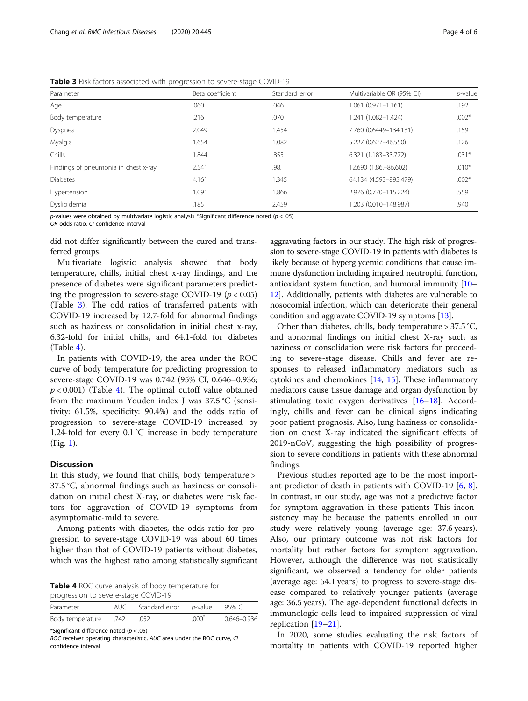Table 3 Risk factors associated with progression to severe-stage COVID-19

| $\tilde{\phantom{a}}$<br>$\tilde{\phantom{a}}$ |                |                           |            |  |  |  |  |
|------------------------------------------------|----------------|---------------------------|------------|--|--|--|--|
| Beta coefficient                               | Standard error | Multivariable OR (95% CI) | $p$ -value |  |  |  |  |
| .060                                           | .046           | $1.061(0.971 - 1.161)$    | .192       |  |  |  |  |
| .216                                           | .070           | 1.241 (1.082-1.424)       | $.002*$    |  |  |  |  |
| 2.049                                          | 1.454          | 7.760 (0.6449-134.131)    | .159       |  |  |  |  |
| 1.654                                          | 1.082          | 5.227 (0.627-46.550)      | .126       |  |  |  |  |
| 1.844                                          | .855           | 6.321 (1.183-33.772)      | $.031*$    |  |  |  |  |
| 2.541                                          | .98.           | 12.690 (1.86. - 86.602)   | $.010*$    |  |  |  |  |
| 4.161                                          | 1.345          | 64.134 (4.593-895.479)    | $.002*$    |  |  |  |  |
| 1.091                                          | 1.866          | 2.976 (0.770-115.224)     | .559       |  |  |  |  |
| .185                                           | 2.459          | 1.203 (0.010-148.987)     | .940       |  |  |  |  |
|                                                |                |                           |            |  |  |  |  |

p-values were obtained by multivariate logistic analysis \*Significant difference noted ( $p < .05$ )

OR odds ratio, CI confidence interval

did not differ significantly between the cured and transferred groups.

Multivariate logistic analysis showed that body temperature, chills, initial chest x-ray findings, and the presence of diabetes were significant parameters predicting the progression to severe-stage COVID-19 ( $p < 0.05$ ) (Table 3). The odd ratios of transferred patients with COVID-19 increased by 12.7-fold for abnormal findings such as haziness or consolidation in initial chest x-ray, 6.32-fold for initial chills, and 64.1-fold for diabetes  $(Table 4)$ .

In patients with COVID-19, the area under the ROC curve of body temperature for predicting progression to severe-stage COVID-19 was 0.742 (95% CI, 0.646–0.936;  $p < 0.001$ ) (Table 4). The optimal cutoff value obtained from the maximum Youden index J was 37.5 °C (sensitivity: 61.5%, specificity: 90.4%) and the odds ratio of progression to severe-stage COVID-19 increased by 1.24-fold for every 0.1 °C increase in body temperature (Fig. [1](#page-4-0)).

## Discussion

In this study, we found that chills, body temperature > 37.5 °C, abnormal findings such as haziness or consolidation on initial chest X-ray, or diabetes were risk factors for aggravation of COVID-19 symptoms from asymptomatic-mild to severe.

Among patients with diabetes, the odds ratio for progression to severe-stage COVID-19 was about 60 times higher than that of COVID-19 patients without diabetes, which was the highest ratio among statistically significant

Table 4 ROC curve analysis of body temperature for progression to severe-stage COVID-19

| Parameter             | AUC Standard error p-value 95% CI |            |             |
|-----------------------|-----------------------------------|------------|-------------|
| 742. Body temperature | .052                              | $.000^{7}$ | 0.646-0.936 |

\*Significant difference noted  $(p < .05)$ 

ROC receiver operating characteristic, AUC area under the ROC curve, CI confidence interval

aggravating factors in our study. The high risk of progression to severe-stage COVID-19 in patients with diabetes is likely because of hyperglycemic conditions that cause immune dysfunction including impaired neutrophil function, antioxidant system function, and humoral immunity [\[10](#page-5-0)– [12](#page-5-0)]. Additionally, patients with diabetes are vulnerable to nosocomial infection, which can deteriorate their general condition and aggravate COVID-19 symptoms [[13](#page-5-0)].

Other than diabetes, chills, body temperature > 37.5 °C, and abnormal findings on initial chest X-ray such as haziness or consolidation were risk factors for proceeding to severe-stage disease. Chills and fever are responses to released inflammatory mediators such as cytokines and chemokines  $[14, 15]$  $[14, 15]$  $[14, 15]$  $[14, 15]$  $[14, 15]$ . These inflammatory mediators cause tissue damage and organ dysfunction by stimulating toxic oxygen derivatives [[16](#page-5-0)–[18](#page-5-0)]. Accordingly, chills and fever can be clinical signs indicating poor patient prognosis. Also, lung haziness or consolidation on chest X-ray indicated the significant effects of 2019-nCoV, suggesting the high possibility of progression to severe conditions in patients with these abnormal findings.

Previous studies reported age to be the most important predictor of death in patients with COVID-19 [[6,](#page-4-0) [8](#page-5-0)]. In contrast, in our study, age was not a predictive factor for symptom aggravation in these patients This inconsistency may be because the patients enrolled in our study were relatively young (average age: 37.6 years). Also, our primary outcome was not risk factors for mortality but rather factors for symptom aggravation. However, although the difference was not statistically significant, we observed a tendency for older patients (average age: 54.1 years) to progress to severe-stage disease compared to relatively younger patients (average age: 36.5 years). The age-dependent functional defects in immunologic cells lead to impaired suppression of viral replication [\[19](#page-5-0)–[21\]](#page-5-0).

In 2020, some studies evaluating the risk factors of mortality in patients with COVID-19 reported higher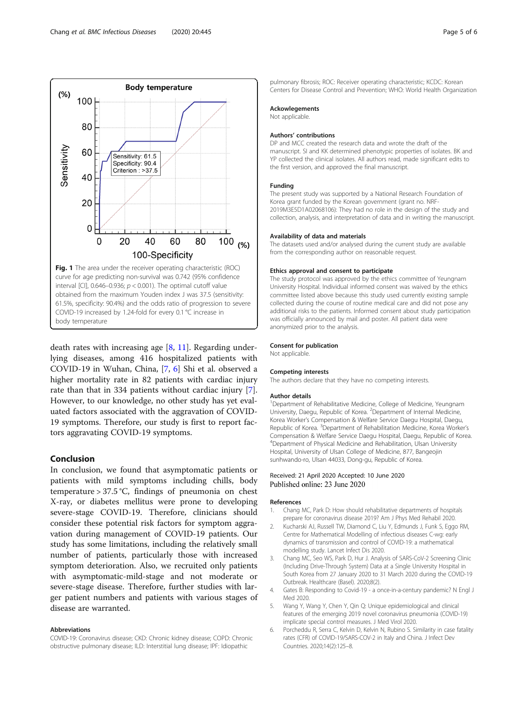death rates with increasing age  $[8, 11]$  $[8, 11]$  $[8, 11]$  $[8, 11]$ . Regarding underlying diseases, among 416 hospitalized patients with COVID-19 in Wuhan, China, [\[7](#page-5-0), 6] Shi et al. observed a higher mortality rate in 82 patients with cardiac injury rate than that in 334 patients without cardiac injury [\[7](#page-5-0)]. However, to our knowledge, no other study has yet evaluated factors associated with the aggravation of COVID-19 symptoms. Therefore, our study is first to report factors aggravating COVID-19 symptoms.

# Conclusion

In conclusion, we found that asymptomatic patients or patients with mild symptoms including chills, body temperature >  $37.5$ °C, findings of pneumonia on chest X-ray, or diabetes mellitus were prone to developing severe-stage COVID-19. Therefore, clinicians should consider these potential risk factors for symptom aggravation during management of COVID-19 patients. Our study has some limitations, including the relatively small number of patients, particularly those with increased symptom deterioration. Also, we recruited only patients with asymptomatic-mild-stage and not moderate or severe-stage disease. Therefore, further studies with larger patient numbers and patients with various stages of disease are warranted.

#### Abbreviations

COVID-19: Coronavirus disease; CKD: Chronic kidney disease; COPD: Chronic obstructive pulmonary disease; ILD: Interstitial lung disease; IPF: Idiopathic

pulmonary fibrosis; ROC: Receiver operating characteristic; KCDC: Korean Centers for Disease Control and Prevention; WHO: World Health Organization

#### Ackowlegements

Not applicable.

#### Authors' contributions

DP and MCC created the research data and wrote the draft of the manuscript. SI and KK determined phenotypic properties of isolates. BK and YP collected the clinical isolates. All authors read, made significant edits to the first version, and approved the final manuscript.

#### Funding

The present study was supported by a National Research Foundation of Korea grant funded by the Korean government (grant no. NRF-2019M3E5D1A02068106): They had no role in the design of the study and collection, analysis, and interpretation of data and in writing the manuscript.

#### Availability of data and materials

The datasets used and/or analysed during the current study are available from the corresponding author on reasonable request.

#### Ethics approval and consent to participate

The study protocol was approved by the ethics committee of Yeungnam University Hospital. Individual informed consent was waived by the ethics committee listed above because this study used currently existing sample collected during the course of routine medical care and did not pose any additional risks to the patients. Informed consent about study participation was officially announced by mail and poster. All patient data were anonymized prior to the analysis.

#### Consent for publication

Not applicable.

#### Competing interests

The authors declare that they have no competing interests.

#### Author details

<sup>1</sup>Department of Rehabilitative Medicine, College of Medicine, Yeungnam University, Daegu, Republic of Korea. <sup>2</sup>Department of Internal Medicine Korea Worker's Compensation & Welfare Service Daegu Hospital, Daegu, Republic of Korea. <sup>3</sup> Department of Rehabilitation Medicine, Korea Worker's Compensation & Welfare Service Daegu Hospital, Daegu, Republic of Korea. 4 Department of Physical Medicine and Rehabilitation, Ulsan University Hospital, University of Ulsan College of Medicine, 877, Bangeojin sunhwando-ro, Ulsan 44033, Dong-gu, Republic of Korea.

# Received: 21 April 2020 Accepted: 10 June 2020 Published online: 23 June 2020

#### References

- 1. Chang MC, Park D: How should rehabilitative departments of hospitals prepare for coronavirus disease 2019? Am J Phys Med Rehabil 2020.
- 2. Kucharski AJ, Russell TW, Diamond C, Liu Y, Edmunds J, Funk S, Eggo RM, Centre for Mathematical Modelling of infectious diseases C-wg: early dynamics of transmission and control of COVID-19: a mathematical modelling study. Lancet Infect Dis 2020.
- 3. Chang MC, Seo WS, Park D, Hur J. Analysis of SARS-CoV-2 Screening Clinic (Including Drive-Through System) Data at a Single University Hospital in South Korea from 27 January 2020 to 31 March 2020 during the COVID-19 Outbreak. Healthcare (Basel). 2020;8(2).
- 4. Gates B: Responding to Covid-19 a once-in-a-century pandemic? N Engl J Med 2020.
- 5. Wang Y, Wang Y, Chen Y, Qin Q: Unique epidemiological and clinical features of the emerging 2019 novel coronavirus pneumonia (COVID-19) implicate special control measures. J Med Virol 2020.
- 6. Porcheddu R, Serra C, Kelvin D, Kelvin N, Rubino S. Similarity in case fatality rates (CFR) of COVID-19/SARS-COV-2 in Italy and China. J Infect Dev Countries. 2020;14(2):125–8.

<span id="page-4-0"></span>